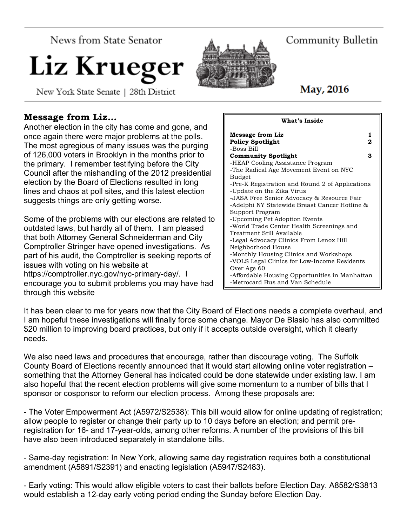News from State Senator

# Liz Krueg

New York State Senate | 28th District

#### **Message from Liz…**

Another election in the city has come and gone, and once again there were major problems at the polls. The most egregious of many issues was the purging of 126,000 voters in Brooklyn in the months prior to the primary. I remember testifying before the City Council after the mishandling of the 2012 presidential election by the Board of Elections resulted in long lines and chaos at poll sites, and this latest election suggests things are only getting worse.

Some of the problems with our elections are related to outdated laws, but hardly all of them. I am pleased that both Attorney General Schneiderman and City Comptroller Stringer have opened investigations. As part of his audit, the Comptroller is seeking reports of issues with voting on his website at https://comptroller.nyc.gov/nyc-primary-day/. I encourage you to submit problems you may have had through this website

Budget -Update on the Zika Virus Support Program Treatment Still Available Neighborhood House

-Metrocard Bus and Van Schedule

It has been clear to me for years now that the City Board of Elections needs a complete overhaul, and I am hopeful these investigations will finally force some change. Mayor De Blasio has also committed \$20 million to improving board practices, but only if it accepts outside oversight, which it clearly needs.

We also need laws and procedures that encourage, rather than discourage voting. The Suffolk County Board of Elections recently announced that it would start allowing online voter registration – something that the Attorney General has indicated could be done statewide under existing law. I am also hopeful that the recent election problems will give some momentum to a number of bills that I sponsor or cosponsor to reform our election process. Among these proposals are:

- The Voter Empowerment Act (A5972/S2538): This bill would allow for online updating of registration; allow people to register or change their party up to 10 days before an election; and permit preregistration for 16- and 17-year-olds, among other reforms. A number of the provisions of this bill have also been introduced separately in standalone bills.

- Same-day registration: In New York, allowing same day registration requires both a constitutional amendment (A5891/S2391) and enacting legislation (A5947/S2483).

- Early voting: This would allow eligible voters to cast their ballots before Election Day. A8582/S3813 would establish a 12-day early voting period ending the Sunday before Election Day.

#### **Message from Liz** 1 Policy Spotlight 2 -Boss Bill **Community Spotlight 3** -HEAP Cooling Assistance Program -The Radical Age Movement Event on NYC -Pre-K Registration and Round 2 of Applications -JASA Free Senior Advocacy & Resource Fair -Adelphi NY Statewide Breast Cancer Hotline & -Upcoming Pet Adoption Events -World Trade Center Health Screenings and -Legal Advocacy Clinics From Lenox Hill -Monthly Housing Clinics and Workshops -VOLS Legal Clinics for Low-Income Residents Over Age 60 -Affordable Housing Opportunities in Manhattan

**What's Inside**

## May, 2016

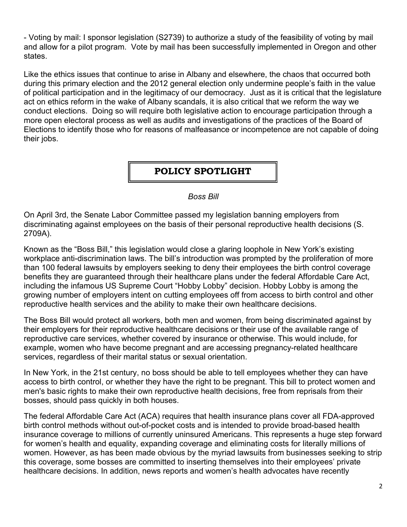- Voting by mail: I sponsor legislation (S2739) to authorize a study of the feasibility of voting by mail and allow for a pilot program. Vote by mail has been successfully implemented in Oregon and other states.

Like the ethics issues that continue to arise in Albany and elsewhere, the chaos that occurred both during this primary election and the 2012 general election only undermine people's faith in the value of political participation and in the legitimacy of our democracy. Just as it is critical that the legislature act on ethics reform in the wake of Albany scandals, it is also critical that we reform the way we conduct elections. Doing so will require both legislative action to encourage participation through a more open electoral process as well as audits and investigations of the practices of the Board of Elections to identify those who for reasons of malfeasance or incompetence are not capable of doing their jobs.

### **POLICY SPOTLIGHT**

*Boss Bill*

On April 3rd, the Senate Labor Committee passed my legislation banning employers from discriminating against employees on the basis of their personal reproductive health decisions (S. 2709A).

Known as the "Boss Bill," this legislation would close a glaring loophole in New York's existing workplace anti-discrimination laws. The bill's introduction was prompted by the proliferation of more than 100 federal lawsuits by employers seeking to deny their employees the birth control coverage benefits they are guaranteed through their healthcare plans under the federal Affordable Care Act, including the infamous US Supreme Court "Hobby Lobby" decision. Hobby Lobby is among the growing number of employers intent on cutting employees off from access to birth control and other reproductive health services and the ability to make their own healthcare decisions.

The Boss Bill would protect all workers, both men and women, from being discriminated against by their employers for their reproductive healthcare decisions or their use of the available range of reproductive care services, whether covered by insurance or otherwise. This would include, for example, women who have become pregnant and are accessing pregnancy-related healthcare services, regardless of their marital status or sexual orientation.

In New York, in the 21st century, no boss should be able to tell employees whether they can have access to birth control, or whether they have the right to be pregnant. This bill to protect women and men's basic rights to make their own reproductive health decisions, free from reprisals from their bosses, should pass quickly in both houses.

The federal Affordable Care Act (ACA) requires that health insurance plans cover all FDA-approved birth control methods without out-of-pocket costs and is intended to provide broad-based health insurance coverage to millions of currently uninsured Americans. This represents a huge step forward for women's health and equality, expanding coverage and eliminating costs for literally millions of women. However, as has been made obvious by the myriad lawsuits from businesses seeking to strip this coverage, some bosses are committed to inserting themselves into their employees' private healthcare decisions. In addition, news reports and women's health advocates have recently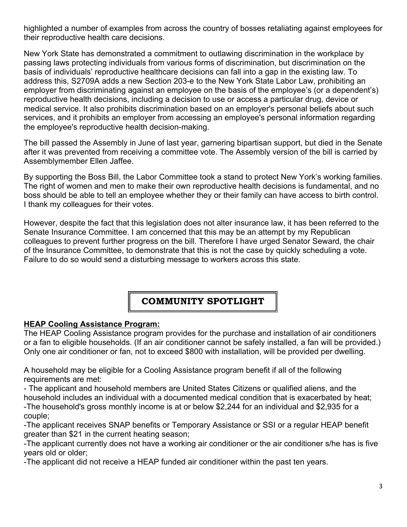highlighted a number of examples from across the country of bosses retaliating against employees for their reproductive health care decisions.

New York State has demonstrated a commitment to outlawing discrimination in the workplace by passing laws protecting individuals from various forms of discrimination, but discrimination on the basis of individuals' reproductive healthcare decisions can fall into a gap in the existing law. To address this, S2709A adds a new Section 203-e to the New York State Labor Law, prohibiting an employer from discriminating against an employee on the basis of the employee's (or a dependent's) reproductive health decisions, including a decision to use or access a particular drug, device or medical service. It also prohibits discrimination based on an employer's personal beliefs about such services, and it prohibits an employer from accessing an employee's personal information regarding the employee's reproductive health decision-making.

The bill passed the Assembly in June of last year, garnering bipartisan support, but died in the Senate after it was prevented from receiving a committee vote. The Assembly version of the bill is carried by Assemblymember Ellen Jaffee.

By supporting the Boss Bill, the Labor Committee took a stand to protect New York's working families. The right of women and men to make their own reproductive health decisions is fundamental, and no boss should be able to tell an employee whether they or their family can have access to birth control. I thank my colleagues for their votes.

However, despite the fact that this legislation does not alter insurance law, it has been referred to the Senate Insurance Committee. I am concerned that this may be an attempt by my Republican colleagues to prevent further progress on the bill. Therefore I have urged Senator Seward, the chair of the Insurance Committee, to demonstrate that this is not the case by quickly scheduling a vote. Failure to do so would send a disturbing message to workers across this state.

### **COMMUNITY SPOTLIGHT**

#### **HEAP Cooling Assistance Program:**

The HEAP Cooling Assistance program provides for the purchase and installation of air conditioners or a fan to eligible households. (If an air conditioner cannot be safely installed, a fan will be provided.) Only one air conditioner or fan, not to exceed \$800 with installation, will be provided per dwelling.

A household may be eligible for a Cooling Assistance program benefit if all of the following requirements are met:

- The applicant and household members are United States Citizens or qualified aliens, and the household includes an individual with a documented medical condition that is exacerbated by heat; -The household's gross monthly income is at or below \$2,244 for an individual and \$2,935 for a couple;

-The applicant receives SNAP benefits or Temporary Assistance or SSI or a regular HEAP benefit greater than \$21 in the current heating season;

-The applicant currently does not have a working air conditioner or the air conditioner s/he has is five years old or older;

-The applicant did not receive a HEAP funded air conditioner within the past ten years.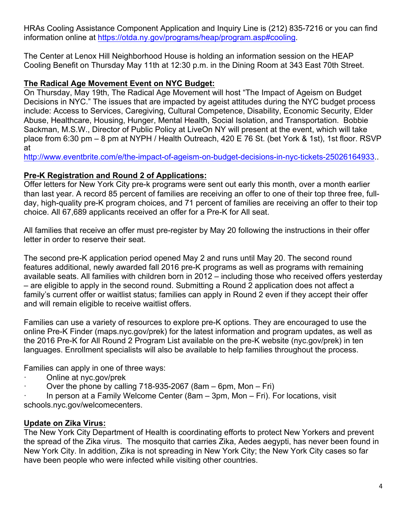HRAs Cooling Assistance Component Application and Inquiry Line is (212) 835-7216 or you can find information online at https://otda.ny.gov/programs/heap/program.asp#cooling.

The Center at Lenox Hill Neighborhood House is holding an information session on the HEAP Cooling Benefit on Thursday May 11th at 12:30 p.m. in the Dining Room at 343 East 70th Street.

#### **The Radical Age Movement Event on NYC Budget:**

On Thursday, May 19th, The Radical Age Movement will host "The Impact of Ageism on Budget Decisions in NYC." The issues that are impacted by ageist attitudes during the NYC budget process include: Access to Services, Caregiving, Cultural Competence, Disability, Economic Security, Elder Abuse, Healthcare, Housing, Hunger, Mental Health, Social Isolation, and Transportation. Bobbie Sackman, M.S.W., Director of Public Policy at LiveOn NY will present at the event, which will take place from 6:30 pm – 8 pm at NYPH / Health Outreach, 420 E 76 St. (bet York & 1st), 1st floor. RSVP at

http://www.eventbrite.com/e/the-impact-of-ageism-on-budget-decisions-in-nyc-tickets-25026164933..

#### **Pre-K Registration and Round 2 of Applications:**

Offer letters for New York City pre-k programs were sent out early this month, over a month earlier than last year. A record 85 percent of families are receiving an offer to one of their top three free, fullday, high-quality pre-K program choices, and 71 percent of families are receiving an offer to their top choice. All 67,689 applicants received an offer for a Pre-K for All seat.

All families that receive an offer must pre-register by May 20 following the instructions in their offer letter in order to reserve their seat.

The second pre-K application period opened May 2 and runs until May 20. The second round features additional, newly awarded fall 2016 pre-K programs as well as programs with remaining available seats. All families with children born in 2012 – including those who received offers yesterday – are eligible to apply in the second round. Submitting a Round 2 application does not affect a family's current offer or waitlist status; families can apply in Round 2 even if they accept their offer and will remain eligible to receive waitlist offers.

Families can use a variety of resources to explore pre-K options. They are encouraged to use the online Pre-K Finder (maps.nyc.gov/prek) for the latest information and program updates, as well as the 2016 Pre-K for All Round 2 Program List available on the pre-K website (nyc.gov/prek) in ten languages. Enrollment specialists will also be available to help families throughout the process.

Families can apply in one of three ways:

- Online at nyc.gov/prek
- Over the phone by calling  $718-935-2067$  (8am 6pm, Mon Fri)

· In person at a Family Welcome Center (8am – 3pm, Mon – Fri). For locations, visit schools.nyc.gov/welcomecenters.

#### **Update on Zika Virus:**

The New York City Department of Health is coordinating efforts to protect New Yorkers and prevent the spread of the Zika virus. The mosquito that carries Zika, Aedes aegypti, has never been found in New York City. In addition, Zika is not spreading in New York City; the New York City cases so far have been people who were infected while visiting other countries.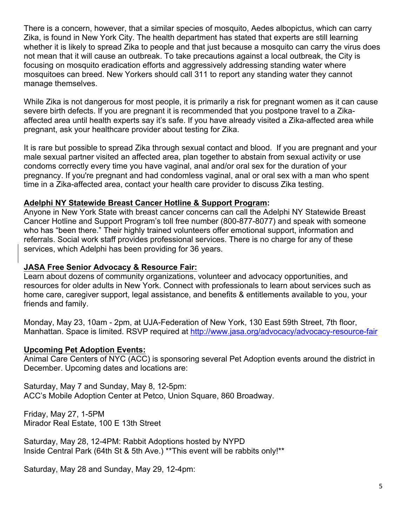There is a concern, however, that a similar species of mosquito, Aedes albopictus, which can carry Zika, is found in New York City. The health department has stated that experts are still learning whether it is likely to spread Zika to people and that just because a mosquito can carry the virus does not mean that it will cause an outbreak. To take precautions against a local outbreak, the City is focusing on mosquito eradication efforts and aggressively addressing standing water where mosquitoes can breed. New Yorkers should call 311 to report any standing water they cannot manage themselves.

While Zika is not dangerous for most people, it is primarily a risk for pregnant women as it can cause severe birth defects. If you are pregnant it is recommended that you postpone travel to a Zikaaffected area until health experts say it's safe. If you have already visited a Zika-affected area while pregnant, ask your healthcare provider about testing for Zika.

It is rare but possible to spread Zika through sexual contact and blood. If you are pregnant and your male sexual partner visited an affected area, plan together to abstain from sexual activity or use condoms correctly every time you have vaginal, anal and/or oral sex for the duration of your pregnancy. If you're pregnant and had condomless vaginal, anal or oral sex with a man who spent time in a Zika-affected area, contact your health care provider to discuss Zika testing.

#### **Adelphi NY Statewide Breast Cancer Hotline & Support Program:**

Anyone in New York State with breast cancer concerns can call the Adelphi NY Statewide Breast Cancer Hotline and Support Program's toll free number (800-877-8077) and speak with someone who has "been there." Their highly trained volunteers offer emotional support, information and referrals. Social work staff provides professional services. There is no charge for any of these services, which Adelphi has been providing for 36 years.

#### **JASA Free Senior Advocacy & Resource Fair:**

Learn about dozens of community organizations, volunteer and advocacy opportunities, and resources for older adults in New York. Connect with professionals to learn about services such as home care, caregiver support, legal assistance, and benefits & entitlements available to you, your friends and family.

Monday, May 23, 10am - 2pm, at UJA-Federation of New York, 130 East 59th Street, 7th floor, Manhattan. Space is limited. RSVP required at http://www.jasa.org/advocacy/advocacy-resource-fair

#### **Upcoming Pet Adoption Events:**

Animal Care Centers of NYC (ACC) is sponsoring several Pet Adoption events around the district in December. Upcoming dates and locations are:

Saturday, May 7 and Sunday, May 8, 12-5pm: ACC's Mobile Adoption Center at Petco, Union Square, 860 Broadway.

Friday, May 27, 1-5PM Mirador Real Estate, 100 E 13th Street

Saturday, May 28, 12-4PM: Rabbit Adoptions hosted by NYPD Inside Central Park (64th St & 5th Ave.) \*\*This event will be rabbits only!\*\*

Saturday, May 28 and Sunday, May 29, 12-4pm: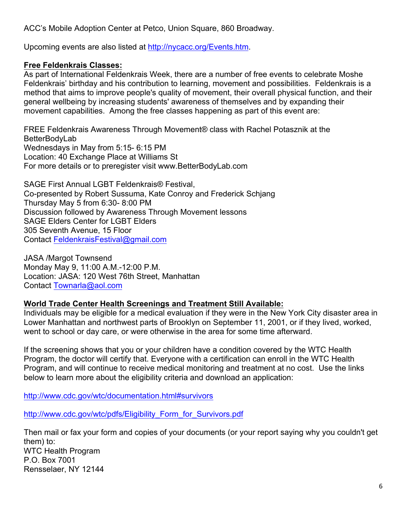ACC's Mobile Adoption Center at Petco, Union Square, 860 Broadway.

Upcoming events are also listed at http://nycacc.org/Events.htm.

#### **Free Feldenkrais Classes:**

As part of International Feldenkrais Week, there are a number of free events to celebrate Moshe Feldenkrais' birthday and his contribution to learning, movement and possibilities. Feldenkrais is a method that aims to improve people's quality of movement, their overall physical function, and their general wellbeing by increasing students' awareness of themselves and by expanding their movement capabilities. Among the free classes happening as part of this event are:

FREE Feldenkrais Awareness Through Movement® class with Rachel Potasznik at the BetterBodyLab Wednesdays in May from 5:15- 6:15 PM Location: 40 Exchange Place at Williams St For more details or to preregister visit www.BetterBodyLab.com

SAGE First Annual LGBT Feldenkrais® Festival, Co-presented by Robert Sussuma, Kate Conroy and Frederick Schjang Thursday May 5 from 6:30- 8:00 PM Discussion followed by Awareness Through Movement lessons SAGE Elders Center for LGBT Elders 305 Seventh Avenue, 15 Floor Contact FeldenkraisFestival@gmail.com

JASA /Margot Townsend Monday May 9, 11:00 A.M.-12:00 P.M. Location: JASA: 120 West 76th Street, Manhattan Contact Townarla@aol.com

#### **World Trade Center Health Screenings and Treatment Still Available:**

Individuals may be eligible for a medical evaluation if they were in the New York City disaster area in Lower Manhattan and northwest parts of Brooklyn on September 11, 2001, or if they lived, worked, went to school or day care, or were otherwise in the area for some time afterward.

If the screening shows that you or your children have a condition covered by the WTC Health Program, the doctor will certify that. Everyone with a certification can enroll in the WTC Health Program, and will continue to receive medical monitoring and treatment at no cost. Use the links below to learn more about the eligibility criteria and download an application:

http://www.cdc.gov/wtc/documentation.html#survivors

http://www.cdc.gov/wtc/pdfs/Eligibility\_Form\_for\_Survivors.pdf

Then mail or fax your form and copies of your documents (or your report saying why you couldn't get them) to: WTC Health Program P.O. Box 7001 Rensselaer, NY 12144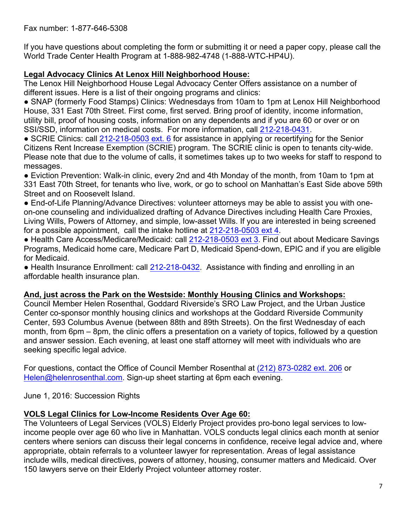If you have questions about completing the form or submitting it or need a paper copy, please call the World Trade Center Health Program at 1-888-982-4748 (1-888-WTC-HP4U).

#### **Legal Advocacy Clinics At Lenox Hill Neighborhood House:**

The Lenox Hill Neighborhood House Legal Advocacy Center Offers assistance on a number of different issues. Here is a list of their ongoing programs and clinics:

• SNAP (formerly Food Stamps) Clinics: Wednesdays from 10am to 1pm at Lenox Hill Neighborhood House, 331 East 70th Street. First come, first served. Bring proof of identity, income information, utility bill, proof of housing costs, information on any dependents and if you are 60 or over or on SSI/SSD, information on medical costs. For more information, call 212-218-0431.

● SCRIE Clinics: call 212-218-0503 ext. 6 for assistance in applying or recertifying for the Senior Citizens Rent Increase Exemption (SCRIE) program. The SCRIE clinic is open to tenants city-wide. Please note that due to the volume of calls, it sometimes takes up to two weeks for staff to respond to messages.

● Eviction Prevention: Walk-in clinic, every 2nd and 4th Monday of the month, from 10am to 1pm at 331 East 70th Street, for tenants who live, work, or go to school on Manhattan's East Side above 59th Street and on Roosevelt Island.

• End-of-Life Planning/Advance Directives: volunteer attorneys may be able to assist you with oneon-one counseling and individualized drafting of Advance Directives including Health Care Proxies, Living Wills, Powers of Attorney, and simple, low-asset Wills. If you are interested in being screened for a possible appointment, call the intake hotline at 212-218-0503 ext 4.

● Health Care Access/Medicare/Medicaid: call 212-218-0503 ext 3. Find out about Medicare Savings Programs, Medicaid home care, Medicare Part D, Medicaid Spend-down, EPIC and if you are eligible for Medicaid.

• Health Insurance Enrollment: call 212-218-0432. Assistance with finding and enrolling in an affordable health insurance plan.

#### **And, just across the Park on the Westside: Monthly Housing Clinics and Workshops:**

Council Member Helen Rosenthal, Goddard Riverside's SRO Law Project, and the Urban Justice Center co-sponsor monthly housing clinics and workshops at the Goddard Riverside Community Center, 593 Columbus Avenue (between 88th and 89th Streets). On the first Wednesday of each month, from 6pm – 8pm, the clinic offers a presentation on a variety of topics, followed by a question and answer session. Each evening, at least one staff attorney will meet with individuals who are seeking specific legal advice.

For questions, contact the Office of Council Member Rosenthal at (212) 873-0282 ext. 206 or Helen@helenrosenthal.com. Sign-up sheet starting at 6pm each evening.

June 1, 2016: Succession Rights

## **VOLS Legal Clinics for Low-Income Residents Over Age 60:**

The Volunteers of Legal Services (VOLS) Elderly Project provides pro-bono legal services to lowincome people over age 60 who live in Manhattan. VOLS conducts legal clinics each month at senior centers where seniors can discuss their legal concerns in confidence, receive legal advice and, where appropriate, obtain referrals to a volunteer lawyer for representation. Areas of legal assistance include wills, medical directives, powers of attorney, housing, consumer matters and Medicaid. Over 150 lawyers serve on their Elderly Project volunteer attorney roster.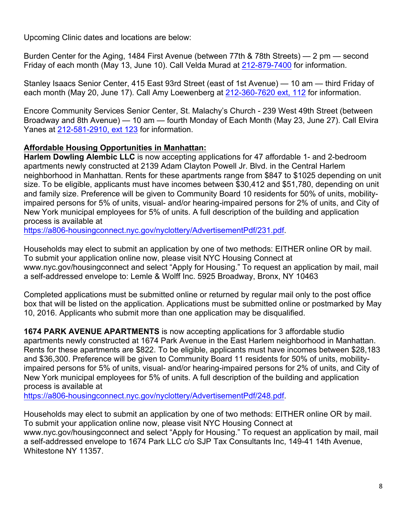Upcoming Clinic dates and locations are below:

Burden Center for the Aging, 1484 First Avenue (between 77th & 78th Streets) — 2 pm — second Friday of each month (May 13, June 10). Call Velda Murad at 212-879-7400 for information.

Stanley Isaacs Senior Center, 415 East 93rd Street (east of 1st Avenue) — 10 am — third Friday of each month (May 20, June 17). Call Amy Loewenberg at 212-360-7620 ext, 112 for information.

Encore Community Services Senior Center, St. Malachy's Church - 239 West 49th Street (between Broadway and 8th Avenue) — 10 am — fourth Monday of Each Month (May 23, June 27). Call Elvira Yanes at 212-581-2910, ext 123 for information.

#### **Affordable Housing Opportunities in Manhattan:**

**Harlem Dowling Alembic LLC** is now accepting applications for 47 affordable 1- and 2-bedroom apartments newly constructed at 2139 Adam Clayton Powell Jr. Blvd. in the Central Harlem neighborhood in Manhattan. Rents for these apartments range from \$847 to \$1025 depending on unit size. To be eligible, applicants must have incomes between \$30,412 and \$51,780, depending on unit and family size. Preference will be given to Community Board 10 residents for 50% of units, mobilityimpaired persons for 5% of units, visual- and/or hearing-impaired persons for 2% of units, and City of New York municipal employees for 5% of units. A full description of the building and application process is available at

https://a806-housingconnect.nyc.gov/nyclottery/AdvertisementPdf/231.pdf.

Households may elect to submit an application by one of two methods: EITHER online OR by mail. To submit your application online now, please visit NYC Housing Connect at www.nyc.gov/housingconnect and select "Apply for Housing." To request an application by mail, mail a self-addressed envelope to: Lemle & Wolff Inc. 5925 Broadway, Bronx, NY 10463

Completed applications must be submitted online or returned by regular mail only to the post office box that will be listed on the application. Applications must be submitted online or postmarked by May 10, 2016. Applicants who submit more than one application may be disqualified.

**1674 PARK AVENUE APARTMENTS** is now accepting applications for 3 affordable studio apartments newly constructed at 1674 Park Avenue in the East Harlem neighborhood in Manhattan. Rents for these apartments are \$822. To be eligible, applicants must have incomes between \$28,183 and \$36,300. Preference will be given to Community Board 11 residents for 50% of units, mobilityimpaired persons for 5% of units, visual- and/or hearing-impaired persons for 2% of units, and City of New York municipal employees for 5% of units. A full description of the building and application process is available at

https://a806-housingconnect.nyc.gov/nyclottery/AdvertisementPdf/248.pdf.

Households may elect to submit an application by one of two methods: EITHER online OR by mail. To submit your application online now, please visit NYC Housing Connect at www.nyc.gov/housingconnect and select "Apply for Housing." To request an application by mail, mail a self-addressed envelope to 1674 Park LLC c/o SJP Tax Consultants Inc, 149-41 14th Avenue, Whitestone NY 11357.